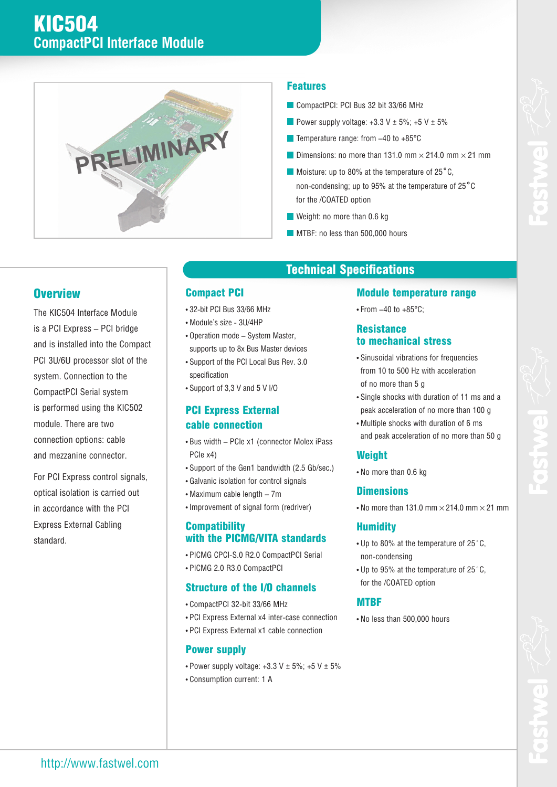

#### **Features**

- CompactPCI: PCI Bus 32 bit 33/66 MHz
- Power supply voltage:  $+3.3$  V  $\pm$  5%;  $+5$  V  $\pm$  5%
- $\blacksquare$  Temperature range: from -40 to +85 $^\circ$ C
- Dimensions: no more than 131.0 mm  $\times$  214.0 mm  $\times$  21 mm
- Moisture: up to 80% at the temperature of 25<sup>°</sup>C, non-condensing; up to 95% at the temperature of 25˚С for the /COATED option
- Weight: no more than 0.6 kg
- **MTBF: no less than 500,000 hours**

### **Overview**

The KIC504 Interface Module is a PCI Express – PCI bridge and is installed into the Compact PCI 3U/6U processor slot of the system. Connection to the CompactPCI Serial system is performed using the KIC502 module. There are two connection options: cable and mezzanine connector.

For PCI Express control signals, optical isolation is carried out in accordance with the PCI Express External Cabling standard.

### **Compact PCI**

- 32-bit PCI Bus 33/66 MHz
- Module's size 3U/4HP
- Operation mode System Master, supports up to 8x Bus Master devices
- Support of the PCI Local Bus Rev. 3.0 specification
- Support of 3,3 V and 5 V I/O

#### **PCI Express External cable connection**

- Bus width PCIe x1 (connector Molex iPass PCIe x4)
- Support of the Gen1 bandwidth (2.5 Gb/sec.)
- Galvanic isolation for control signals
- Maximum cable length 7m
- Improvement of signal form (redriver)

#### **Compatibility with the PICMG/VITA standards**

- PICMG CPCI-S.0 R2.0 CompactPCI Serial
- PICMG 2.0 R3.0 CompactPCI
- **Structure of the I/O channels**
- CompactPCI 32-bit 33/66 MHz
- 
- PCI Express External x4 inter-case connection
- PCI Express External x1 cable connection

#### **Power supply**

- Power supply voltage:  $+3.3$  V  $\pm$  5%;  $+5$  V  $\pm$  5%
- Consumption current: 1 А

# **Technical Specifications**

#### **Module temperature range**

• From  $-40$  to  $+85^{\circ}$ C:

#### **Resistance to mechanical stress**

- Sinusoidal vibrations for frequencies from 10 to 500 Hz with acceleration of no more than 5 g
- Single shocks with duration of 11 ms and a peak acceleration of no more than 100 g
- Multiple shocks with duration of 6 ms and peak acceleration of no more than 50 g

#### **Weight**

• No more than 0.6 kg

#### **Dimensions**

• No more than 131.0 mm  $\times$  214.0 mm  $\times$  21 mm

#### **Humidity**

- Up to 80% at the temperature of 25˚С, non-condensing
- Up to 95% at the temperature of 25˚С, for the /COATED option

#### **MTBF**

• No less than 500,000 hours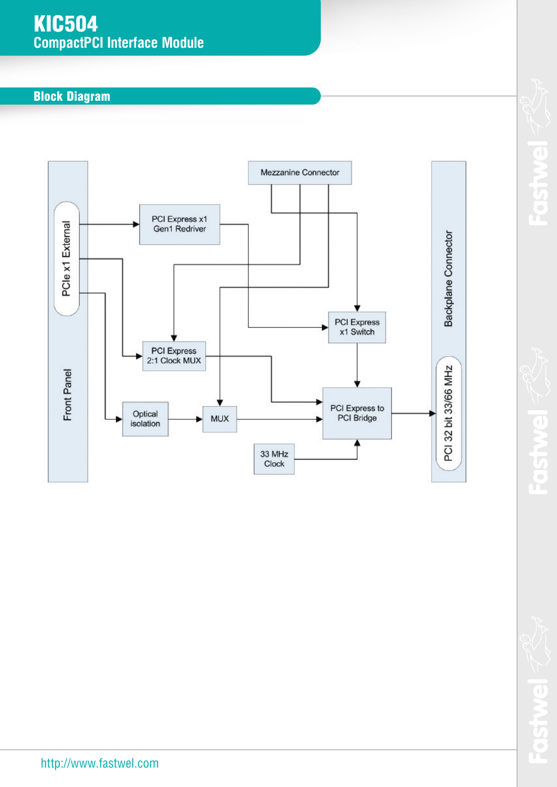## **KIC504 CompactPCI Interface Module**

## **Block Diagram**



Fosty

**OSTW** T